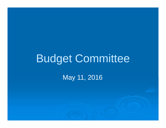# Budget Committee

May 11, 2016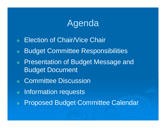#### Agenda

- $\overline{\mathbf{X}}$ Election of Chair/Vice Chair
- $\frac{1}{2}$ Budget Committee Responsibilities
- $\overrightarrow{x}$  Presentation of Budget Message and Budget Document
- ✿ Committee Discussion
- $\frac{1}{2}$ Information requests
- $\overrightarrow{x}$ Proposed Budget Committee Calendar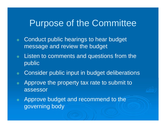#### Purpose of the Committee

- $\frac{1}{2}$  Conduct public hearings to hear budget message and review the budget
- $\overrightarrow{\mathbf{x}}$  Listen to comments and questions from the public
- $\frac{1}{2}$ Consider public input in budget deliberations
- $\frac{1}{2}$  Approve the property tax rate to submit to assessor
- $\overrightarrow{\mathbf{x}}$  Approve budget and recommend to the governing body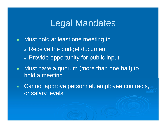### Legal Mandates

- $\overrightarrow{x}$  Must hold at least one meeting to :
	- $\boldsymbol{\Phi}$  $_{\circ}$  Receive the budget document
	- $\boldsymbol{\Phi}$ Provide opportunity for public input
- $\overrightarrow{x}$  Must have <sup>a</sup> quorum (more than one half) to hold <sup>a</sup> meeting
- $\overrightarrow{x}$  Cannot approve personnel, employee contracts, or salary levels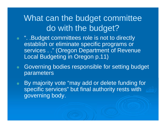### What can the budget committee do with the budget?

- ✿ ☆ ". .Budget committees role is not to directly establish or eliminate specific programs or services . ." (Oregon Department of Revenue Local Budgeting in Oregon p.11)
- $\frac{1}{2}$  Governing bodies responsible for setting budget parameters
- $\overrightarrow{\mathbf{r}}$  By majority vote "may add or delete funding for specific services" but final authority rests with governing body.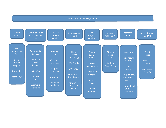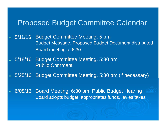## Proposed Budget Committee Calendar

- ✿ 5/11/16 Budget Committee Meeting, 5 pm Budget Message, Proposed Budget Document distributedBoard meeting at 6:30
- ✿ 5/18/16 Budget Committee Meeting, 5:30 pmPublic Comment
- $\frac{1}{2}$ 5/25/16 Budget Committee Meeting, 5:30 pm (if necessary)
- $\overrightarrow{\mathbf{x}}$  6/08/16 Board Meeting, 6:30 pm: Public Budget HearingBoard adopts budget, appropriates funds, levies taxes